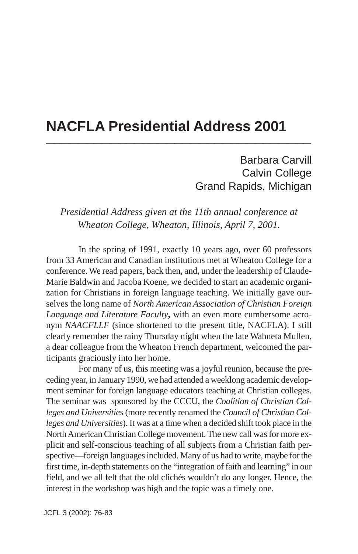## **NACFLA Presidential Address 2001 \_\_\_\_\_\_\_\_\_\_\_\_\_\_\_\_\_\_\_\_\_\_\_\_\_\_\_\_\_\_\_\_\_**

Barbara Carvill Calvin College Grand Rapids, Michigan

## *Presidential Address given at the 11th annual conference at Wheaton College, Wheaton, Illinois, April 7, 2001.*

In the spring of 1991, exactly 10 years ago, over 60 professors from 33 American and Canadian institutions met at Wheaton College for a conference. We read papers, back then, and, under the leadership of Claude-Marie Baldwin and Jacoba Koene, we decided to start an academic organization for Christians in foreign language teaching. We initially gave ourselves the long name of *North American Association of Christian Foreign Language and Literature Faculty***,** with an even more cumbersome acronym *NAACFLLF* (since shortened to the present title, NACFLA). I still clearly remember the rainy Thursday night when the late Wahneta Mullen, a dear colleague from the Wheaton French department, welcomed the participants graciously into her home.

For many of us, this meeting was a joyful reunion, because the preceding year, in January 1990, we had attended a weeklong academic development seminar for foreign language educators teaching at Christian colleges. The seminar was sponsored by the CCCU, the *Coalition of Christian Colleges and Universities* (more recently renamed the *Council of Christian Colleges and Universities*). It was at a time when a decided shift took place in the North American Christian College movement. The new call was for more explicit and self-conscious teaching of all subjects from a Christian faith perspective—foreign languages included. Many of us had to write, maybe for the first time, in-depth statements on the "integration of faith and learning" in our field, and we all felt that the old clichés wouldn't do any longer. Hence, the interest in the workshop was high and the topic was a timely one.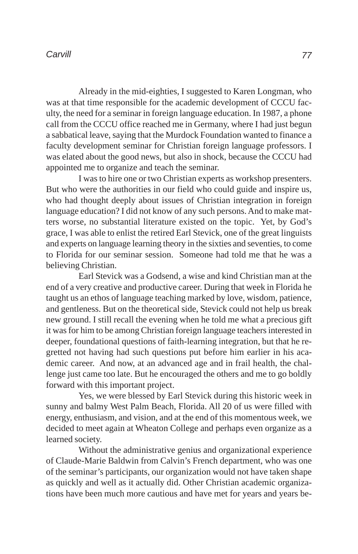## *Carvill*

Already in the mid-eighties, I suggested to Karen Longman, who was at that time responsible for the academic development of CCCU faculty, the need for a seminar in foreign language education. In 1987, a phone call from the CCCU office reached me in Germany, where I had just begun a sabbatical leave, saying that the Murdock Foundation wanted to finance a faculty development seminar for Christian foreign language professors. I was elated about the good news, but also in shock, because the CCCU had appointed me to organize and teach the seminar.

I was to hire one or two Christian experts as workshop presenters. But who were the authorities in our field who could guide and inspire us, who had thought deeply about issues of Christian integration in foreign language education? I did not know of any such persons. And to make matters worse, no substantial literature existed on the topic. Yet, by God's grace, I was able to enlist the retired Earl Stevick, one of the great linguists and experts on language learning theory in the sixties and seventies, to come to Florida for our seminar session. Someone had told me that he was a believing Christian.

Earl Stevick was a Godsend, a wise and kind Christian man at the end of a very creative and productive career. During that week in Florida he taught us an ethos of language teaching marked by love, wisdom, patience, and gentleness. But on the theoretical side, Stevick could not help us break new ground. I still recall the evening when he told me what a precious gift it was for him to be among Christian foreign language teachers interested in deeper, foundational questions of faith-learning integration, but that he regretted not having had such questions put before him earlier in his academic career. And now, at an advanced age and in frail health, the challenge just came too late. But he encouraged the others and me to go boldly forward with this important project.

Yes, we were blessed by Earl Stevick during this historic week in sunny and balmy West Palm Beach, Florida. All 20 of us were filled with energy, enthusiasm, and vision, and at the end of this momentous week, we decided to meet again at Wheaton College and perhaps even organize as a learned society.

Without the administrative genius and organizational experience of Claude-Marie Baldwin from Calvin's French department, who was one of the seminar's participants, our organization would not have taken shape as quickly and well as it actually did. Other Christian academic organizations have been much more cautious and have met for years and years be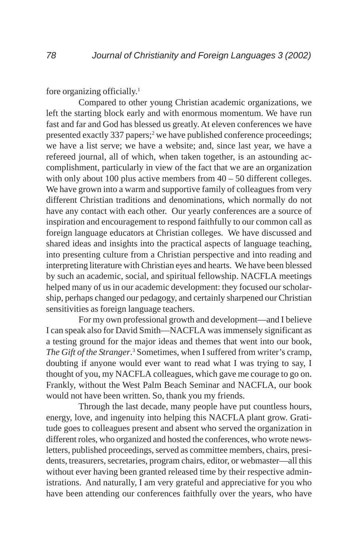fore organizing officially.1

Compared to other young Christian academic organizations, we left the starting block early and with enormous momentum. We have run fast and far and God has blessed us greatly. At eleven conferences we have presented exactly 337 papers;<sup>2</sup> we have published conference proceedings; we have a list serve; we have a website; and, since last year, we have a refereed journal, all of which, when taken together, is an astounding accomplishment, particularly in view of the fact that we are an organization with only about 100 plus active members from  $40 - 50$  different colleges. We have grown into a warm and supportive family of colleagues from very different Christian traditions and denominations, which normally do not have any contact with each other. Our yearly conferences are a source of inspiration and encouragement to respond faithfully to our common call as foreign language educators at Christian colleges. We have discussed and shared ideas and insights into the practical aspects of language teaching, into presenting culture from a Christian perspective and into reading and interpreting literature with Christian eyes and hearts. We have been blessed by such an academic, social, and spiritual fellowship. NACFLA meetings helped many of us in our academic development: they focused our scholarship, perhaps changed our pedagogy, and certainly sharpened our Christian sensitivities as foreign language teachers.

For my own professional growth and development—and I believe I can speak also for David Smith—NACFLA was immensely significant as a testing ground for the major ideas and themes that went into our book, The Gift of the Stranger.<sup>3</sup> Sometimes, when I suffered from writer's cramp, doubting if anyone would ever want to read what I was trying to say, I thought of you, my NACFLA colleagues, which gave me courage to go on. Frankly, without the West Palm Beach Seminar and NACFLA, our book would not have been written. So, thank you my friends.

Through the last decade, many people have put countless hours, energy, love, and ingenuity into helping this NACFLA plant grow. Gratitude goes to colleagues present and absent who served the organization in different roles, who organized and hosted the conferences, who wrote newsletters, published proceedings, served as committee members, chairs, presidents, treasurers, secretaries, program chairs, editor, or webmaster—all this without ever having been granted released time by their respective administrations. And naturally, I am very grateful and appreciative for you who have been attending our conferences faithfully over the years, who have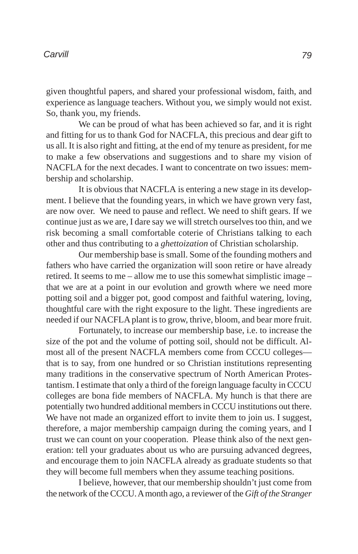given thoughtful papers, and shared your professional wisdom, faith, and experience as language teachers. Without you, we simply would not exist. So, thank you, my friends.

We can be proud of what has been achieved so far, and it is right and fitting for us to thank God for NACFLA, this precious and dear gift to us all. It is also right and fitting, at the end of my tenure as president, for me to make a few observations and suggestions and to share my vision of NACFLA for the next decades. I want to concentrate on two issues: membership and scholarship.

It is obvious that NACFLA is entering a new stage in its development. I believe that the founding years, in which we have grown very fast, are now over. We need to pause and reflect. We need to shift gears. If we continue just as we are, I dare say we will stretch ourselves too thin, and we risk becoming a small comfortable coterie of Christians talking to each other and thus contributing to a *ghettoization* of Christian scholarship.

Our membership base is small. Some of the founding mothers and fathers who have carried the organization will soon retire or have already retired. It seems to me – allow me to use this somewhat simplistic image – that we are at a point in our evolution and growth where we need more potting soil and a bigger pot, good compost and faithful watering, loving, thoughtful care with the right exposure to the light. These ingredients are needed if our NACFLA plant is to grow, thrive, bloom, and bear more fruit.

Fortunately, to increase our membership base, i.e. to increase the size of the pot and the volume of potting soil, should not be difficult. Almost all of the present NACFLA members come from CCCU colleges that is to say, from one hundred or so Christian institutions representing many traditions in the conservative spectrum of North American Protestantism. I estimate that only a third of the foreign language faculty in CCCU colleges are bona fide members of NACFLA. My hunch is that there are potentially two hundred additional members in CCCU institutions out there. We have not made an organized effort to invite them to join us. I suggest, therefore, a major membership campaign during the coming years, and I trust we can count on your cooperation. Please think also of the next generation: tell your graduates about us who are pursuing advanced degrees, and encourage them to join NACFLA already as graduate students so that they will become full members when they assume teaching positions.

I believe, however, that our membership shouldn't just come from the network of the CCCU. A month ago, a reviewer of the *Gift of the Stranger*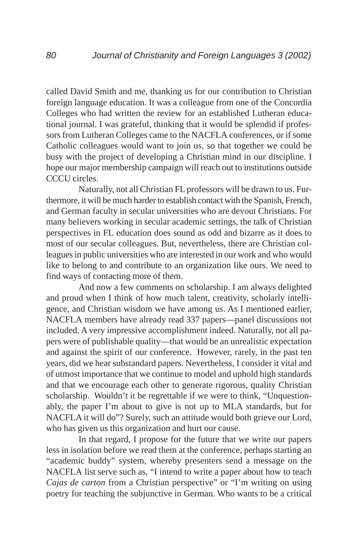called David Smith and me, thanking us for our contribution to Christian foreign language education. It was a colleague from one of the Concordia Colleges who had written the review for an established Lutheran educational journal. I was grateful, thinking that it would be splendid if professors from Lutheran Colleges came to the NACFLA conferences, or if some Catholic colleagues would want to join us, so that together we could be busy with the project of developing a Christian mind in our discipline. I hope our major membership campaign will reach out to institutions outside CCCU circles.

Naturally, not all Christian FL professors will be drawn to us. Furthermore, it will be much harder to establish contact with the Spanish, French, and German faculty in secular universities who are devout Christians. For many believers working in secular academic settings, the talk of Christian perspectives in FL education does sound as odd and bizarre as it does to most of our secular colleagues. But, nevertheless, there are Christian colleagues in public universities who are interested in our work and who would like to belong to and contribute to an organization like ours. We need to find ways of contacting more of them.

And now a few comments on scholarship. I am always delighted and proud when I think of how much talent, creativity, scholarly intelligence, and Christian wisdom we have among us. As I mentioned earlier, NACFLA members have already read 337 papers—panel discussions not included. A very impressive accomplishment indeed. Naturally, not all papers were of publishable quality—that would be an unrealistic expectation and against the spirit of our conference. However, rarely, in the past ten years, did we hear substandard papers. Nevertheless, I consider it vital and of utmost importance that we continue to model and uphold high standards and that we encourage each other to generate rigorous, quality Christian scholarship. Wouldn't it be regrettable if we were to think, "Unquestionably, the paper I'm about to give is not up to MLA standards, but for NACFLA it will do"? Surely, such an attitude would both grieve our Lord, who has given us this organization and hurt our cause.

In that regard, I propose for the future that we write our papers less in isolation before we read them at the conference, perhaps starting an "academic buddy" system, whereby presenters send a message on the NACFLA list serve such as, "I intend to write a paper about how to teach *Cajas de carton* from a Christian perspective" or "I'm writing on using poetry for teaching the subjunctive in German. Who wants to be a critical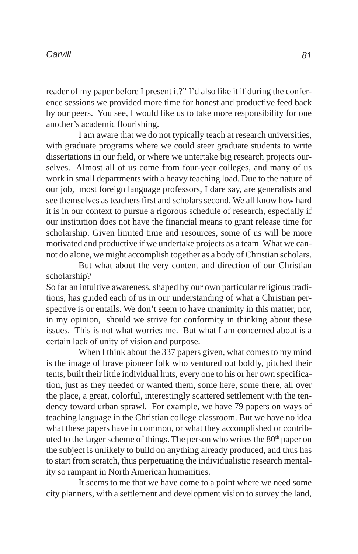reader of my paper before I present it?" I'd also like it if during the conference sessions we provided more time for honest and productive feed back by our peers. You see, I would like us to take more responsibility for one another's academic flourishing.

I am aware that we do not typically teach at research universities, with graduate programs where we could steer graduate students to write dissertations in our field, or where we untertake big research projects ourselves. Almost all of us come from four-year colleges, and many of us work in small departments with a heavy teaching load. Due to the nature of our job, most foreign language professors, I dare say, are generalists and see themselves as teachers first and scholars second. We all know how hard it is in our context to pursue a rigorous schedule of research, especially if our institution does not have the financial means to grant release time for scholarship. Given limited time and resources, some of us will be more motivated and productive if we undertake projects as a team. What we cannot do alone, we might accomplish together as a body of Christian scholars.

But what about the very content and direction of our Christian scholarship?

So far an intuitive awareness, shaped by our own particular religious traditions, has guided each of us in our understanding of what a Christian perspective is or entails. We don't seem to have unanimity in this matter, nor, in my opinion, should we strive for conformity in thinking about these issues. This is not what worries me. But what I am concerned about is a certain lack of unity of vision and purpose.

When I think about the 337 papers given, what comes to my mind is the image of brave pioneer folk who ventured out boldly, pitched their tents, built their little individual huts, every one to his or her own specification, just as they needed or wanted them, some here, some there, all over the place, a great, colorful, interestingly scattered settlement with the tendency toward urban sprawl. For example, we have 79 papers on ways of teaching language in the Christian college classroom. But we have no idea what these papers have in common, or what they accomplished or contributed to the larger scheme of things. The person who writes the  $80<sup>th</sup>$  paper on the subject is unlikely to build on anything already produced, and thus has to start from scratch, thus perpetuating the individualistic research mentality so rampant in North American humanities.

It seems to me that we have come to a point where we need some city planners, with a settlement and development vision to survey the land,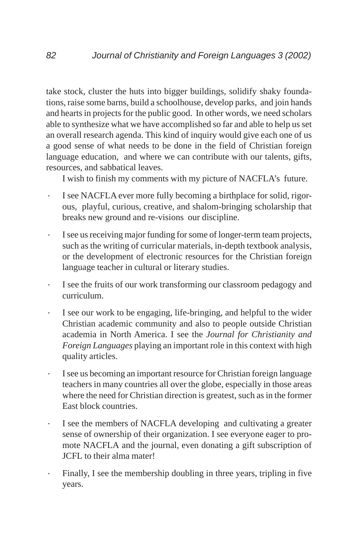take stock, cluster the huts into bigger buildings, solidify shaky foundations, raise some barns, build a schoolhouse, develop parks, and join hands and hearts in projects for the public good. In other words, we need scholars able to synthesize what we have accomplished so far and able to help us set an overall research agenda. This kind of inquiry would give each one of us a good sense of what needs to be done in the field of Christian foreign language education, and where we can contribute with our talents, gifts, resources, and sabbatical leaves.

I wish to finish my comments with my picture of NACFLA's future.

- · I see NACFLA ever more fully becoming a birthplace for solid, rigorous, playful, curious, creative, and shalom-bringing scholarship that breaks new ground and re-visions our discipline.
- · I see us receiving major funding for some of longer-term team projects, such as the writing of curricular materials, in-depth textbook analysis, or the development of electronic resources for the Christian foreign language teacher in cultural or literary studies.
- · I see the fruits of our work transforming our classroom pedagogy and curriculum.
- I see our work to be engaging, life-bringing, and helpful to the wider Christian academic community and also to people outside Christian academia in North America. I see the *Journal for Christianity and Foreign Languages* playing an important role in this context with high quality articles.
- · I see us becoming an important resource for Christian foreign language teachers in many countries all over the globe, especially in those areas where the need for Christian direction is greatest, such as in the former East block countries.
- I see the members of NACFLA developing and cultivating a greater sense of ownership of their organization. I see everyone eager to promote NACFLA and the journal, even donating a gift subscription of JCFL to their alma mater!
- Finally, I see the membership doubling in three years, tripling in five years.